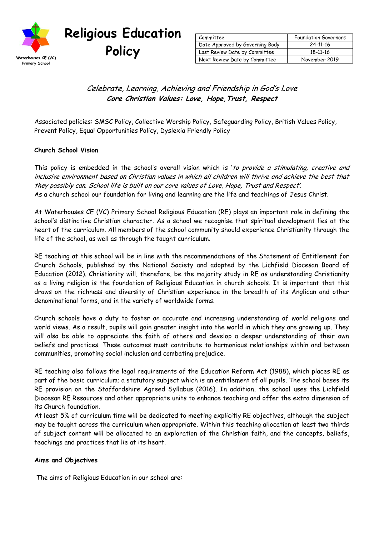

# **Religious Education**

| Committee                       | <b>Foundation Governors</b> |
|---------------------------------|-----------------------------|
| Date Approved by Governing Body | 24-11-16                    |
| Last Review Date by Committee   | 18-11-16                    |
| Next Review Date by Committee   | November 2019               |

## Celebrate, Learning, Achieving and Friendship in God's Love **Core Christian Values: Love, Hope,Trust, Respect**

Associated policies: SMSC Policy, Collective Worship Policy, Safeguarding Policy, British Values Policy, Prevent Policy, Equal Opportunities Policy, Dyslexia Friendly Policy

#### **Church School Vision**

This policy is embedded in the school's overall vision which is 'to provide a stimulating, creative and inclusive environment based on Christian values in which all children will thrive and achieve the best that they possibly can. School life is built on our core values of Love, Hope, Trust and Respect'. As a church school our foundation for living and learning are the life and teachings of Jesus Christ.

At Waterhouses CE (VC) Primary School Religious Education (RE) plays an important role in defining the school's distinctive Christian character. As a school we recognise that spiritual development lies at the heart of the curriculum. All members of the school community should experience Christianity through the life of the school, as well as through the taught curriculum.

RE teaching at this school will be in line with the recommendations of the Statement of Entitlement for Church Schools, published by the National Society and adopted by the Lichfield Diocesan Board of Education (2012). Christianity will, therefore, be the majority study in RE as understanding Christianity as a living religion is the foundation of Religious Education in church schools. It is important that this draws on the richness and diversity of Christian experience in the breadth of its Anglican and other denominational forms, and in the variety of worldwide forms.

Church schools have a duty to foster an accurate and increasing understanding of world religions and world views. As a result, pupils will gain greater insight into the world in which they are growing up. They will also be able to appreciate the faith of others and develop a deeper understanding of their own beliefs and practices. These outcomes must contribute to harmonious relationships within and between communities, promoting social inclusion and combating prejudice.

RE teaching also follows the legal requirements of the Education Reform Act (1988), which places RE as part of the basic curriculum; a statutory subject which is an entitlement of all pupils. The school bases its RE provision on the Staffordshire Agreed Syllabus (2016). In addition, the school uses the Lichfield Diocesan RE Resources and other appropriate units to enhance teaching and offer the extra dimension of its Church foundation.

At least 5% of curriculum time will be dedicated to meeting explicitly RE objectives, although the subject may be taught across the curriculum when appropriate. Within this teaching allocation at least two thirds of subject content will be allocated to an exploration of the Christian faith, and the concepts, beliefs, teachings and practices that lie at its heart.

#### **Aims and Objectives**

The aims of Religious Education in our school are: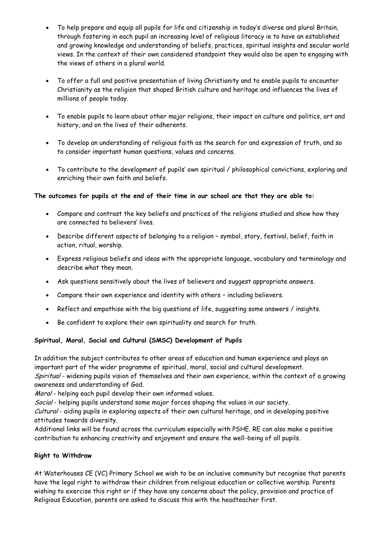- To help prepare and equip all pupils for life and citizenship in today's diverse and plural Britain, through fostering in each pupil an increasing level of religious literacy ie to have an established and growing knowledge and understanding of beliefs, practices, spiritual insights and secular world views. In the context of their own considered standpoint they would also be open to engaging with the views of others in a plural world.
- To offer a full and positive presentation of living Christianity and to enable pupils to encounter Christianity as the religion that shaped British culture and heritage and influences the lives of millions of people today.
- To enable pupils to learn about other major religions, their impact on culture and politics, art and history, and on the lives of their adherents.
- To develop an understanding of religious faith as the search for and expression of truth, and so to consider important human questions, values and concerns.
- To contribute to the development of pupils' own spiritual / philosophical convictions, exploring and enriching their own faith and beliefs.

#### **The outcomes for pupils at the end of their time in our school are that they are able to:**

- Compare and contrast the key beliefs and practices of the religions studied and show how they are connected to believers' lives.
- Describe different aspects of belonging to a religion symbol, story, festival, belief, faith in action, ritual, worship.
- Express religious beliefs and ideas with the appropriate language, vocabulary and terminology and describe what they mean.
- Ask questions sensitively about the lives of believers and suggest appropriate answers.
- Compare their own experience and identity with others including believers.
- Reflect and empathise with the big questions of life, suggesting some answers / insights.
- Be confident to explore their own spirituality and search for truth.

#### **Spiritual, Moral, Social and Cultural (SMSC) Development of Pupils**

In addition the subject contributes to other areas of education and human experience and plays an important part of the wider programme of spiritual, moral, social and cultural development. Spiritual - widening pupils vision of themselves and their own experience, within the context of a growing

awareness and understanding of God.

Moral - helping each pupil develop their own informed values.

Social - helping pupils understand some major forces shaping the values in our society.

Cultural - aiding pupils in exploring aspects of their own cultural heritage, and in developing positive attitudes towards diversity.

Additional links will be found across the curriculum especially with PSHE. RE can also make a positive contribution to enhancing creativity and enjoyment and ensure the well-being of all pupils.

#### **Right to Withdraw**

At Waterhouses CE (VC) Primary School we wish to be an inclusive community but recognise that parents have the legal right to withdraw their children from religious education or collective worship. Parents wishing to exercise this right or if they have any concerns about the policy, provision and practice of Religious Education, parents are asked to discuss this with the headteacher first.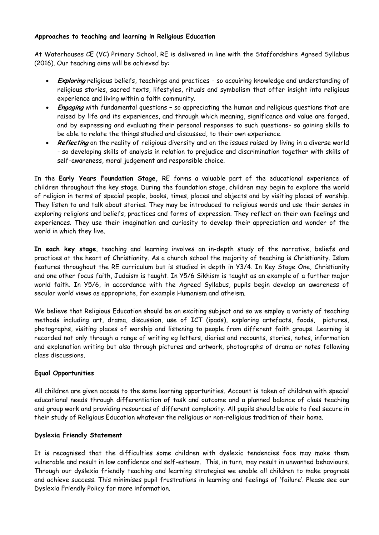#### **Approaches to teaching and learning in Religious Education**

At Waterhouses CE (VC) Primary School, RE is delivered in line with the Staffordshire Agreed Syllabus (2016). Our teaching aims will be achieved by:

- **Exploring** religious beliefs, teachings and practices so acquiring knowledge and understanding of religious stories, sacred texts, lifestyles, rituals and symbolism that offer insight into religious experience and living within a faith community.
- **Engaging** with fundamental questions so appreciating the human and religious questions that are raised by life and its experiences, and through which meaning, significance and value are forged, and by expressing and evaluating their personal responses to such questions- so gaining skills to be able to relate the things studied and discussed, to their own experience.
- **Reflecting** on the reality of religious diversity and on the issues raised by living in a diverse world - so developing skills of analysis in relation to prejudice and discrimination together with skills of self-awareness, moral judgement and responsible choice.

In the **Early Years Foundation Stage,** RE forms a valuable part of the educational experience of children throughout the key stage. During the foundation stage, children may begin to explore the world of religion in terms of special people, books, times, places and objects and by visiting places of worship. They listen to and talk about stories. They may be introduced to religious words and use their senses in exploring religions and beliefs, practices and forms of expression. They reflect on their own feelings and experiences. They use their imagination and curiosity to develop their appreciation and wonder of the world in which they live.

**In each key stage**, teaching and learning involves an in-depth study of the narrative, beliefs and practices at the heart of Christianity. As a church school the majority of teaching is Christianity. Islam features throughout the RE curriculum but is studied in depth in Y3/4. In Key Stage One, Christianity and one other focus faith, Judaism is taught. In Y5/6 Sikhism is taught as an example of a further major world faith. In Y5/6, in accordance with the Agreed Syllabus, pupils begin develop an awareness of secular world views as appropriate, for example Humanism and atheism.

We believe that Religious Education should be an exciting subject and so we employ a variety of teaching methods including art, drama, discussion, use of ICT (ipads), exploring artefacts, foods, pictures, photographs, visiting places of worship and listening to people from different faith groups. Learning is recorded not only through a range of writing eg letters, diaries and recounts, stories, notes, information and explanation writing but also through pictures and artwork, photographs of drama or notes following class discussions.

#### **Equal Opportunities**

All children are given access to the same learning opportunities. Account is taken of children with special educational needs through differentiation of task and outcome and a planned balance of class teaching and group work and providing resources of different complexity. All pupils should be able to feel secure in their study of Religious Education whatever the religious or non-religious tradition of their home.

#### **Dyslexia Friendly Statement**

It is recognised that the difficulties some children with dyslexic tendencies face may make them vulnerable and result in low confidence and self-esteem. This, in turn, may result in unwanted behaviours. Through our dyslexia friendly teaching and learning strategies we enable all children to make progress and achieve success. This minimises pupil frustrations in learning and feelings of 'failure'. Please see our Dyslexia Friendly Policy for more information.